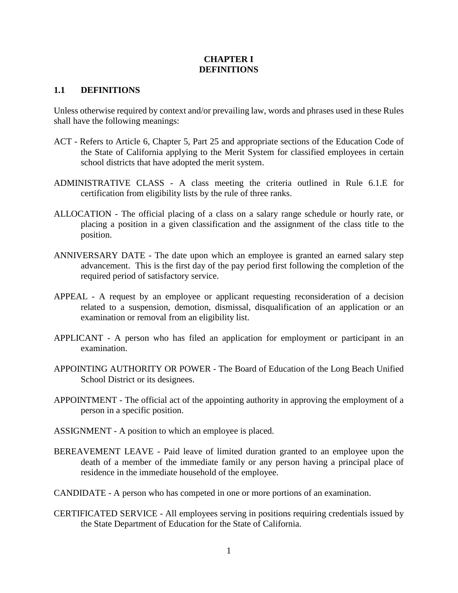## **CHAPTER I DEFINITIONS**

## **1.1 DEFINITIONS**

Unless otherwise required by context and/or prevailing law, words and phrases used in these Rules shall have the following meanings:

- ACT Refers to Article 6, Chapter 5, Part 25 and appropriate sections of the Education Code of the State of California applying to the Merit System for classified employees in certain school districts that have adopted the merit system.
- ADMINISTRATIVE CLASS A class meeting the criteria outlined in Rule 6.1.E for certification from eligibility lists by the rule of three ranks.
- ALLOCATION The official placing of a class on a salary range schedule or hourly rate, or placing a position in a given classification and the assignment of the class title to the position.
- ANNIVERSARY DATE The date upon which an employee is granted an earned salary step advancement. This is the first day of the pay period first following the completion of the required period of satisfactory service.
- APPEAL A request by an employee or applicant requesting reconsideration of a decision related to a suspension, demotion, dismissal, disqualification of an application or an examination or removal from an eligibility list.
- APPLICANT A person who has filed an application for employment or participant in an examination.
- APPOINTING AUTHORITY OR POWER The Board of Education of the Long Beach Unified School District or its designees.
- APPOINTMENT The official act of the appointing authority in approving the employment of a person in a specific position.
- ASSIGNMENT A position to which an employee is placed.
- BEREAVEMENT LEAVE Paid leave of limited duration granted to an employee upon the death of a member of the immediate family or any person having a principal place of residence in the immediate household of the employee.
- CANDIDATE A person who has competed in one or more portions of an examination.
- CERTIFICATED SERVICE All employees serving in positions requiring credentials issued by the State Department of Education for the State of California.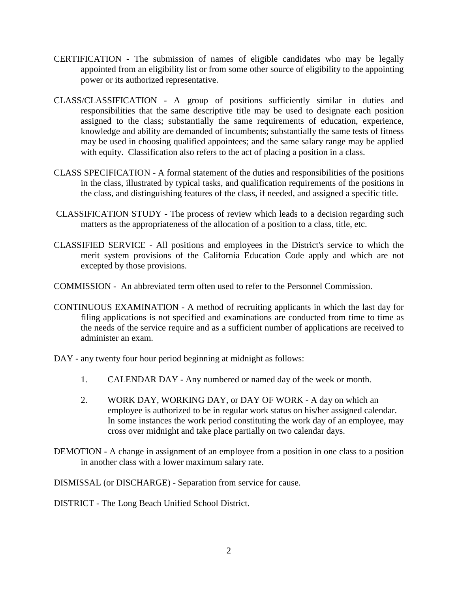- CERTIFICATION The submission of names of eligible candidates who may be legally appointed from an eligibility list or from some other source of eligibility to the appointing power or its authorized representative.
- CLASS/CLASSIFICATION A group of positions sufficiently similar in duties and responsibilities that the same descriptive title may be used to designate each position assigned to the class; substantially the same requirements of education, experience, knowledge and ability are demanded of incumbents; substantially the same tests of fitness may be used in choosing qualified appointees; and the same salary range may be applied with equity. Classification also refers to the act of placing a position in a class.
- CLASS SPECIFICATION A formal statement of the duties and responsibilities of the positions in the class, illustrated by typical tasks, and qualification requirements of the positions in the class, and distinguishing features of the class, if needed, and assigned a specific title.
- CLASSIFICATION STUDY The process of review which leads to a decision regarding such matters as the appropriateness of the allocation of a position to a class, title, etc.
- CLASSIFIED SERVICE All positions and employees in the District's service to which the merit system provisions of the California Education Code apply and which are not excepted by those provisions.
- COMMISSION An abbreviated term often used to refer to the Personnel Commission.
- CONTINUOUS EXAMINATION A method of recruiting applicants in which the last day for filing applications is not specified and examinations are conducted from time to time as the needs of the service require and as a sufficient number of applications are received to administer an exam.
- DAY any twenty four hour period beginning at midnight as follows:
	- 1. CALENDAR DAY Any numbered or named day of the week or month.
	- 2. WORK DAY, WORKING DAY, or DAY OF WORK A day on which an employee is authorized to be in regular work status on his/her assigned calendar. In some instances the work period constituting the work day of an employee, may cross over midnight and take place partially on two calendar days.
- DEMOTION A change in assignment of an employee from a position in one class to a position in another class with a lower maximum salary rate.

DISMISSAL (or DISCHARGE) - Separation from service for cause.

DISTRICT - The Long Beach Unified School District.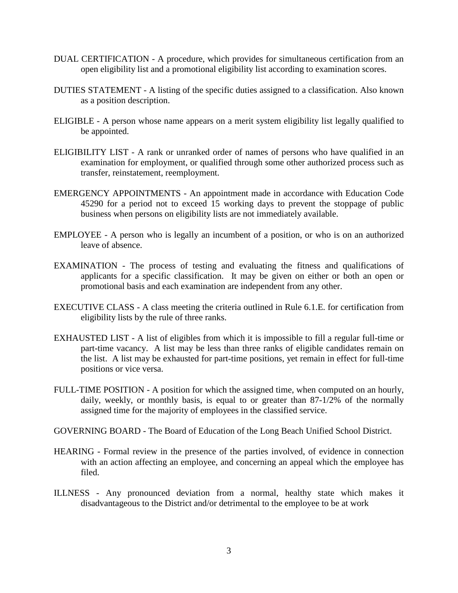- DUAL CERTIFICATION A procedure, which provides for simultaneous certification from an open eligibility list and a promotional eligibility list according to examination scores.
- DUTIES STATEMENT A listing of the specific duties assigned to a classification. Also known as a position description.
- ELIGIBLE A person whose name appears on a merit system eligibility list legally qualified to be appointed.
- ELIGIBILITY LIST A rank or unranked order of names of persons who have qualified in an examination for employment, or qualified through some other authorized process such as transfer, reinstatement, reemployment.
- EMERGENCY APPOINTMENTS An appointment made in accordance with Education Code 45290 for a period not to exceed 15 working days to prevent the stoppage of public business when persons on eligibility lists are not immediately available.
- EMPLOYEE A person who is legally an incumbent of a position, or who is on an authorized leave of absence.
- EXAMINATION The process of testing and evaluating the fitness and qualifications of applicants for a specific classification. It may be given on either or both an open or promotional basis and each examination are independent from any other.
- EXECUTIVE CLASS A class meeting the criteria outlined in Rule 6.1.E. for certification from eligibility lists by the rule of three ranks.
- EXHAUSTED LIST A list of eligibles from which it is impossible to fill a regular full-time or part-time vacancy. A list may be less than three ranks of eligible candidates remain on the list. A list may be exhausted for part-time positions, yet remain in effect for full-time positions or vice versa.
- FULL-TIME POSITION A position for which the assigned time, when computed on an hourly, daily, weekly, or monthly basis, is equal to or greater than 87-1/2% of the normally assigned time for the majority of employees in the classified service.

GOVERNING BOARD - The Board of Education of the Long Beach Unified School District.

- HEARING Formal review in the presence of the parties involved, of evidence in connection with an action affecting an employee, and concerning an appeal which the employee has filed.
- ILLNESS Any pronounced deviation from a normal, healthy state which makes it disadvantageous to the District and/or detrimental to the employee to be at work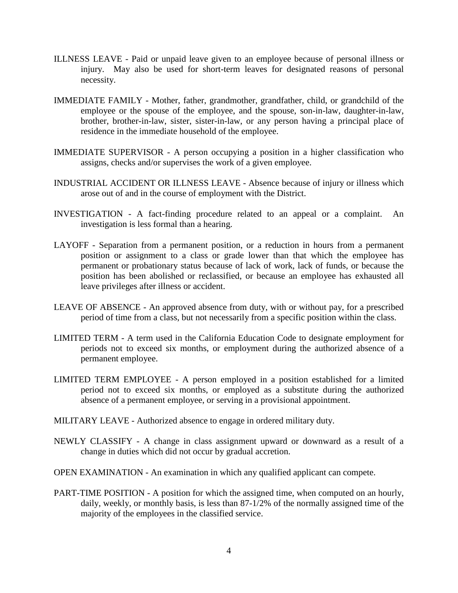- ILLNESS LEAVE Paid or unpaid leave given to an employee because of personal illness or injury. May also be used for short-term leaves for designated reasons of personal necessity.
- IMMEDIATE FAMILY Mother, father, grandmother, grandfather, child, or grandchild of the employee or the spouse of the employee, and the spouse, son-in-law, daughter-in-law, brother, brother-in-law, sister, sister-in-law, or any person having a principal place of residence in the immediate household of the employee.
- IMMEDIATE SUPERVISOR A person occupying a position in a higher classification who assigns, checks and/or supervises the work of a given employee.
- INDUSTRIAL ACCIDENT OR ILLNESS LEAVE Absence because of injury or illness which arose out of and in the course of employment with the District.
- INVESTIGATION A fact-finding procedure related to an appeal or a complaint. An investigation is less formal than a hearing.
- LAYOFF Separation from a permanent position, or a reduction in hours from a permanent position or assignment to a class or grade lower than that which the employee has permanent or probationary status because of lack of work, lack of funds, or because the position has been abolished or reclassified, or because an employee has exhausted all leave privileges after illness or accident.
- LEAVE OF ABSENCE An approved absence from duty, with or without pay, for a prescribed period of time from a class, but not necessarily from a specific position within the class.
- LIMITED TERM A term used in the California Education Code to designate employment for periods not to exceed six months, or employment during the authorized absence of a permanent employee.
- LIMITED TERM EMPLOYEE A person employed in a position established for a limited period not to exceed six months, or employed as a substitute during the authorized absence of a permanent employee, or serving in a provisional appointment.
- MILITARY LEAVE Authorized absence to engage in ordered military duty.
- NEWLY CLASSIFY A change in class assignment upward or downward as a result of a change in duties which did not occur by gradual accretion.
- OPEN EXAMINATION An examination in which any qualified applicant can compete.
- PART-TIME POSITION A position for which the assigned time, when computed on an hourly, daily, weekly, or monthly basis, is less than 87-1/2% of the normally assigned time of the majority of the employees in the classified service.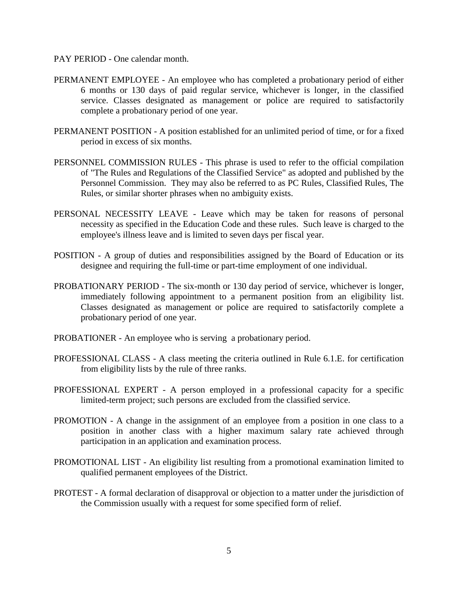## PAY PERIOD - One calendar month.

- PERMANENT EMPLOYEE An employee who has completed a probationary period of either 6 months or 130 days of paid regular service, whichever is longer, in the classified service. Classes designated as management or police are required to satisfactorily complete a probationary period of one year.
- PERMANENT POSITION A position established for an unlimited period of time, or for a fixed period in excess of six months.
- PERSONNEL COMMISSION RULES This phrase is used to refer to the official compilation of "The Rules and Regulations of the Classified Service" as adopted and published by the Personnel Commission. They may also be referred to as PC Rules, Classified Rules, The Rules, or similar shorter phrases when no ambiguity exists.
- PERSONAL NECESSITY LEAVE Leave which may be taken for reasons of personal necessity as specified in the Education Code and these rules. Such leave is charged to the employee's illness leave and is limited to seven days per fiscal year.
- POSITION A group of duties and responsibilities assigned by the Board of Education or its designee and requiring the full-time or part-time employment of one individual.
- PROBATIONARY PERIOD The six-month or 130 day period of service, whichever is longer, immediately following appointment to a permanent position from an eligibility list. Classes designated as management or police are required to satisfactorily complete a probationary period of one year.
- PROBATIONER An employee who is serving a probationary period.
- PROFESSIONAL CLASS A class meeting the criteria outlined in Rule 6.1.E. for certification from eligibility lists by the rule of three ranks.
- PROFESSIONAL EXPERT A person employed in a professional capacity for a specific limited-term project; such persons are excluded from the classified service.
- PROMOTION A change in the assignment of an employee from a position in one class to a position in another class with a higher maximum salary rate achieved through participation in an application and examination process.
- PROMOTIONAL LIST An eligibility list resulting from a promotional examination limited to qualified permanent employees of the District.
- PROTEST A formal declaration of disapproval or objection to a matter under the jurisdiction of the Commission usually with a request for some specified form of relief.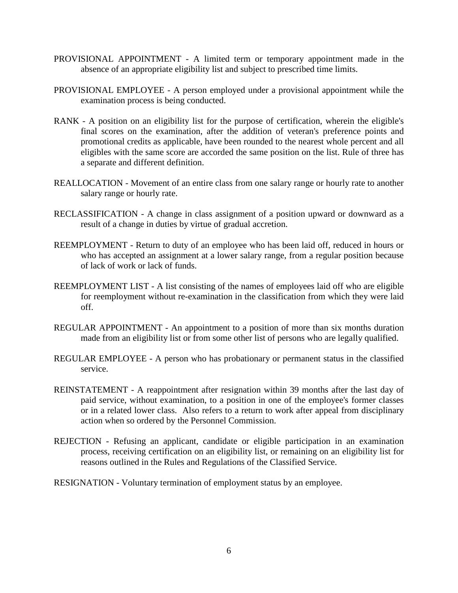- PROVISIONAL APPOINTMENT A limited term or temporary appointment made in the absence of an appropriate eligibility list and subject to prescribed time limits.
- PROVISIONAL EMPLOYEE A person employed under a provisional appointment while the examination process is being conducted.
- RANK A position on an eligibility list for the purpose of certification, wherein the eligible's final scores on the examination, after the addition of veteran's preference points and promotional credits as applicable, have been rounded to the nearest whole percent and all eligibles with the same score are accorded the same position on the list. Rule of three has a separate and different definition.
- REALLOCATION Movement of an entire class from one salary range or hourly rate to another salary range or hourly rate.
- RECLASSIFICATION A change in class assignment of a position upward or downward as a result of a change in duties by virtue of gradual accretion.
- REEMPLOYMENT Return to duty of an employee who has been laid off, reduced in hours or who has accepted an assignment at a lower salary range, from a regular position because of lack of work or lack of funds.
- REEMPLOYMENT LIST A list consisting of the names of employees laid off who are eligible for reemployment without re-examination in the classification from which they were laid off.
- REGULAR APPOINTMENT An appointment to a position of more than six months duration made from an eligibility list or from some other list of persons who are legally qualified.
- REGULAR EMPLOYEE A person who has probationary or permanent status in the classified service.
- REINSTATEMENT A reappointment after resignation within 39 months after the last day of paid service, without examination, to a position in one of the employee's former classes or in a related lower class. Also refers to a return to work after appeal from disciplinary action when so ordered by the Personnel Commission.
- REJECTION Refusing an applicant, candidate or eligible participation in an examination process, receiving certification on an eligibility list, or remaining on an eligibility list for reasons outlined in the Rules and Regulations of the Classified Service.
- RESIGNATION Voluntary termination of employment status by an employee.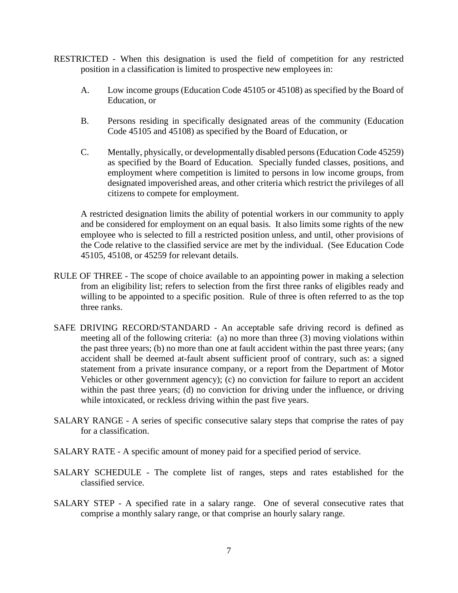- RESTRICTED When this designation is used the field of competition for any restricted position in a classification is limited to prospective new employees in:
	- A. Low income groups (Education Code 45105 or 45108) as specified by the Board of Education, or
	- B. Persons residing in specifically designated areas of the community (Education Code 45105 and 45108) as specified by the Board of Education, or
	- C. Mentally, physically, or developmentally disabled persons (Education Code 45259) as specified by the Board of Education. Specially funded classes, positions, and employment where competition is limited to persons in low income groups, from designated impoverished areas, and other criteria which restrict the privileges of all citizens to compete for employment.

A restricted designation limits the ability of potential workers in our community to apply and be considered for employment on an equal basis. It also limits some rights of the new employee who is selected to fill a restricted position unless, and until, other provisions of the Code relative to the classified service are met by the individual. (See Education Code 45105, 45108, or 45259 for relevant details.

- RULE OF THREE The scope of choice available to an appointing power in making a selection from an eligibility list; refers to selection from the first three ranks of eligibles ready and willing to be appointed to a specific position. Rule of three is often referred to as the top three ranks.
- SAFE DRIVING RECORD/STANDARD An acceptable safe driving record is defined as meeting all of the following criteria: (a) no more than three (3) moving violations within the past three years; (b) no more than one at fault accident within the past three years; (any accident shall be deemed at-fault absent sufficient proof of contrary, such as: a signed statement from a private insurance company, or a report from the Department of Motor Vehicles or other government agency); (c) no conviction for failure to report an accident within the past three years; (d) no conviction for driving under the influence, or driving while intoxicated, or reckless driving within the past five years.
- SALARY RANGE A series of specific consecutive salary steps that comprise the rates of pay for a classification.
- SALARY RATE A specific amount of money paid for a specified period of service.
- SALARY SCHEDULE The complete list of ranges, steps and rates established for the classified service.
- SALARY STEP A specified rate in a salary range. One of several consecutive rates that comprise a monthly salary range, or that comprise an hourly salary range.